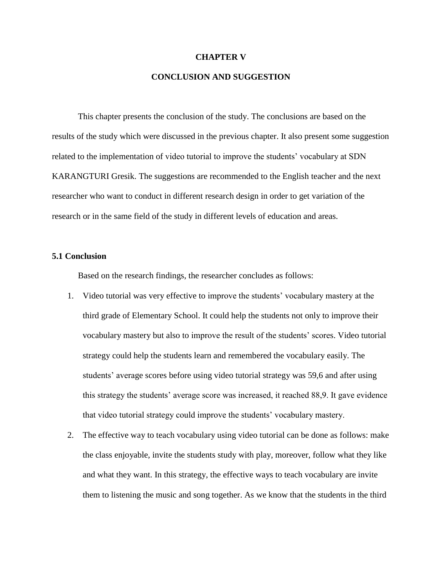#### **CHAPTER V**

## **CONCLUSION AND SUGGESTION**

This chapter presents the conclusion of the study. The conclusions are based on the results of the study which were discussed in the previous chapter. It also present some suggestion related to the implementation of video tutorial to improve the students' vocabulary at SDN KARANGTURI Gresik. The suggestions are recommended to the English teacher and the next researcher who want to conduct in different research design in order to get variation of the research or in the same field of the study in different levels of education and areas.

### **5.1 Conclusion**

Based on the research findings, the researcher concludes as follows:

- 1. Video tutorial was very effective to improve the students' vocabulary mastery at the third grade of Elementary School. It could help the students not only to improve their vocabulary mastery but also to improve the result of the students' scores. Video tutorial strategy could help the students learn and remembered the vocabulary easily. The students' average scores before using video tutorial strategy was 59,6 and after using this strategy the students' average score was increased, it reached 88,9. It gave evidence that video tutorial strategy could improve the students' vocabulary mastery.
- 2. The effective way to teach vocabulary using video tutorial can be done as follows: make the class enjoyable, invite the students study with play, moreover, follow what they like and what they want. In this strategy, the effective ways to teach vocabulary are invite them to listening the music and song together. As we know that the students in the third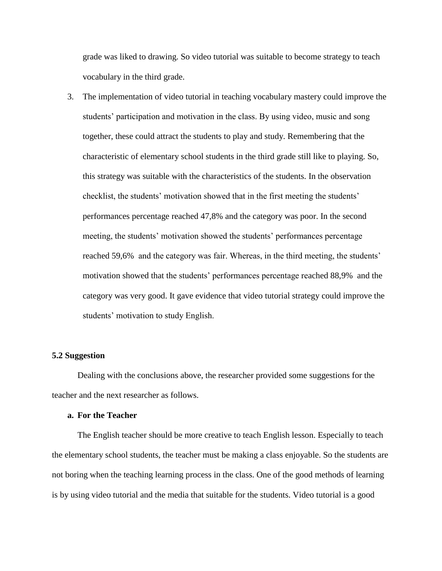grade was liked to drawing. So video tutorial was suitable to become strategy to teach vocabulary in the third grade.

3. The implementation of video tutorial in teaching vocabulary mastery could improve the students' participation and motivation in the class. By using video, music and song together, these could attract the students to play and study. Remembering that the characteristic of elementary school students in the third grade still like to playing. So, this strategy was suitable with the characteristics of the students. In the observation checklist, the students' motivation showed that in the first meeting the students' performances percentage reached 47,8% and the category was poor. In the second meeting, the students' motivation showed the students' performances percentage reached 59,6% and the category was fair. Whereas, in the third meeting, the students' motivation showed that the students' performances percentage reached 88,9% and the category was very good. It gave evidence that video tutorial strategy could improve the students' motivation to study English.

### **5.2 Suggestion**

Dealing with the conclusions above, the researcher provided some suggestions for the teacher and the next researcher as follows.

#### **a. For the Teacher**

The English teacher should be more creative to teach English lesson. Especially to teach the elementary school students, the teacher must be making a class enjoyable. So the students are not boring when the teaching learning process in the class. One of the good methods of learning is by using video tutorial and the media that suitable for the students. Video tutorial is a good